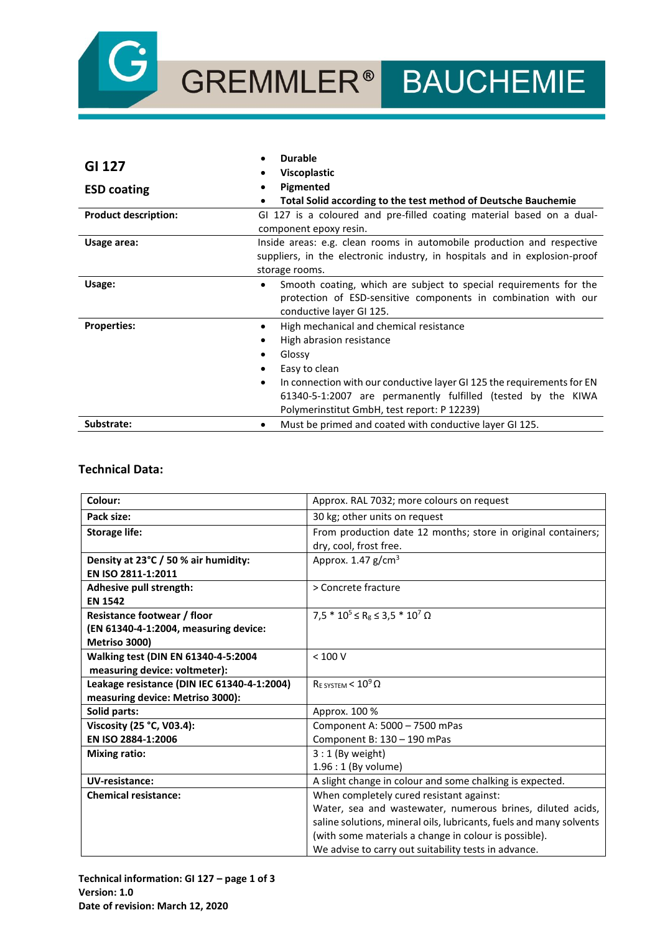

# GREMMLER<sup>®</sup> BAUCHEMIE

|                             | <b>Durable</b>                                                                      |  |
|-----------------------------|-------------------------------------------------------------------------------------|--|
| GI 127                      | <b>Viscoplastic</b>                                                                 |  |
| <b>ESD coating</b>          | Pigmented                                                                           |  |
|                             | Total Solid according to the test method of Deutsche Bauchemie<br>٠                 |  |
| <b>Product description:</b> | GI 127 is a coloured and pre-filled coating material based on a dual-               |  |
|                             | component epoxy resin.                                                              |  |
| Usage area:                 | Inside areas: e.g. clean rooms in automobile production and respective              |  |
|                             | suppliers, in the electronic industry, in hospitals and in explosion-proof          |  |
|                             | storage rooms.                                                                      |  |
| Usage:                      | Smooth coating, which are subject to special requirements for the<br>٠              |  |
|                             | protection of ESD-sensitive components in combination with our                      |  |
|                             | conductive layer GI 125.                                                            |  |
| <b>Properties:</b>          | High mechanical and chemical resistance<br>٠                                        |  |
|                             | High abrasion resistance                                                            |  |
|                             | Glossy                                                                              |  |
|                             | Easy to clean                                                                       |  |
|                             | In connection with our conductive layer GI 125 the requirements for EN<br>$\bullet$ |  |
|                             | 61340-5-1:2007 are permanently fulfilled (tested by the KIWA                        |  |
|                             | Polymerinstitut GmbH, test report: P 12239)                                         |  |
| Substrate:                  | Must be primed and coated with conductive layer GI 125.<br>٠                        |  |

## **Technical Data:**

| Colour:                                     | Approx. RAL 7032; more colours on request                           |
|---------------------------------------------|---------------------------------------------------------------------|
| Pack size:                                  | 30 kg; other units on request                                       |
| <b>Storage life:</b>                        | From production date 12 months; store in original containers;       |
|                                             | dry, cool, frost free.                                              |
| Density at 23°C / 50 % air humidity:        | Approx. $1.47$ g/cm <sup>3</sup>                                    |
| EN ISO 2811-1:2011                          |                                                                     |
| Adhesive pull strength:                     | > Concrete fracture                                                 |
| <b>EN 1542</b>                              |                                                                     |
| <b>Resistance footwear / floor</b>          | $7.5 * 10^5 \le R_g \le 3.5 * 10^7 \Omega$                          |
| (EN 61340-4-1:2004, measuring device:       |                                                                     |
| Metriso 3000)                               |                                                                     |
| Walking test (DIN EN 61340-4-5:2004         | < 100 V                                                             |
| measuring device: voltmeter):               |                                                                     |
| Leakage resistance (DIN IEC 61340-4-1:2004) | $R_E$ system < $10^9$ $\Omega$                                      |
| measuring device: Metriso 3000):            |                                                                     |
| Solid parts:                                | Approx. 100 %                                                       |
| Viscosity (25 °C, V03.4):                   | Component A: 5000 - 7500 mPas                                       |
| EN ISO 2884-1:2006                          | Component B: 130 - 190 mPas                                         |
| <b>Mixing ratio:</b>                        | $3:1$ (By weight)                                                   |
|                                             | 1.96 : 1 (By volume)                                                |
| UV-resistance:                              | A slight change in colour and some chalking is expected.            |
| <b>Chemical resistance:</b>                 | When completely cured resistant against:                            |
|                                             | Water, sea and wastewater, numerous brines, diluted acids,          |
|                                             | saline solutions, mineral oils, lubricants, fuels and many solvents |
|                                             | (with some materials a change in colour is possible).               |
|                                             | We advise to carry out suitability tests in advance.                |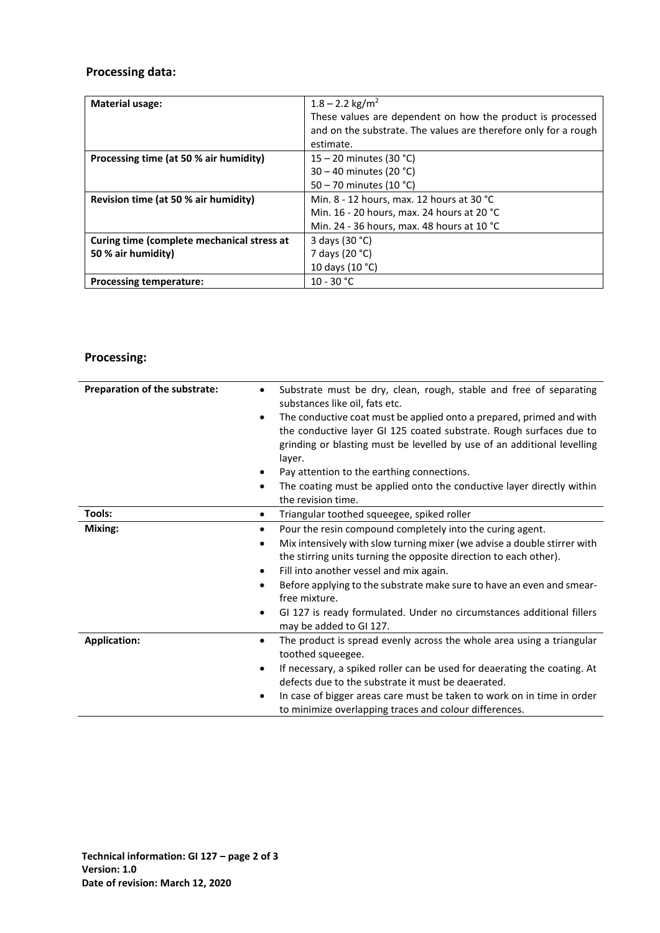# **Processing data:**

| <b>Material usage:</b>                     | $1.8 - 2.2$ kg/m <sup>2</sup>                                   |
|--------------------------------------------|-----------------------------------------------------------------|
|                                            | These values are dependent on how the product is processed      |
|                                            | and on the substrate. The values are therefore only for a rough |
|                                            | estimate.                                                       |
| Processing time (at 50 % air humidity)     | 15 – 20 minutes (30 °C)                                         |
|                                            | 30 – 40 minutes (20 °C)                                         |
|                                            | 50 – 70 minutes (10 °C)                                         |
| Revision time (at 50 % air humidity)       | Min. 8 - 12 hours, max. 12 hours at 30 °C                       |
|                                            | Min. 16 - 20 hours, max. 24 hours at 20 °C                      |
|                                            | Min. 24 - 36 hours, max. 48 hours at 10 °C                      |
| Curing time (complete mechanical stress at | 3 days (30 °C)                                                  |
| 50 % air humidity)                         | 7 days (20 °C)                                                  |
|                                            | 10 days (10 °C)                                                 |
| <b>Processing temperature:</b>             | $10 - 30 °C$                                                    |

# **Processing:**

| Preparation of the substrate: | Substrate must be dry, clean, rough, stable and free of separating<br>$\bullet$<br>substances like oil, fats etc.                              |
|-------------------------------|------------------------------------------------------------------------------------------------------------------------------------------------|
|                               | The conductive coat must be applied onto a prepared, primed and with<br>$\bullet$                                                              |
|                               | the conductive layer GI 125 coated substrate. Rough surfaces due to<br>grinding or blasting must be levelled by use of an additional levelling |
|                               | layer.                                                                                                                                         |
|                               | Pay attention to the earthing connections.                                                                                                     |
|                               | The coating must be applied onto the conductive layer directly within<br>$\bullet$<br>the revision time.                                       |
| Tools:                        | Triangular toothed squeegee, spiked roller<br>$\bullet$                                                                                        |
| Mixing:                       | Pour the resin compound completely into the curing agent.<br>$\bullet$                                                                         |
|                               | Mix intensively with slow turning mixer (we advise a double stirrer with<br>٠                                                                  |
|                               | the stirring units turning the opposite direction to each other).                                                                              |
|                               | Fill into another vessel and mix again.<br>$\bullet$                                                                                           |
|                               | Before applying to the substrate make sure to have an even and smear-<br>$\bullet$<br>free mixture.                                            |
|                               | GI 127 is ready formulated. Under no circumstances additional fillers<br>$\bullet$                                                             |
|                               | may be added to GI 127.                                                                                                                        |
| <b>Application:</b>           | The product is spread evenly across the whole area using a triangular<br>$\bullet$                                                             |
|                               | toothed squeegee.                                                                                                                              |
|                               | If necessary, a spiked roller can be used for deaerating the coating. At<br>٠                                                                  |
|                               | defects due to the substrate it must be deaerated.                                                                                             |
|                               | In case of bigger areas care must be taken to work on in time in order<br>٠<br>to minimize overlapping traces and colour differences.          |